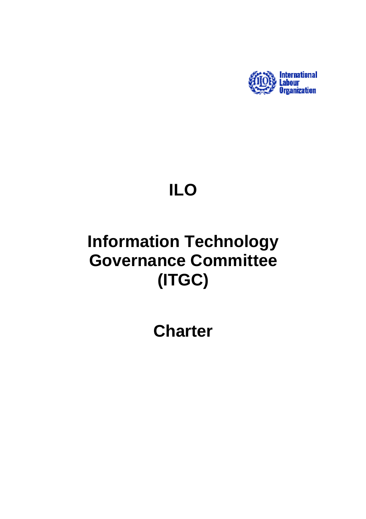

# **ILO**

# **Information Technology Governance Committee (ITGC)**

**Charter**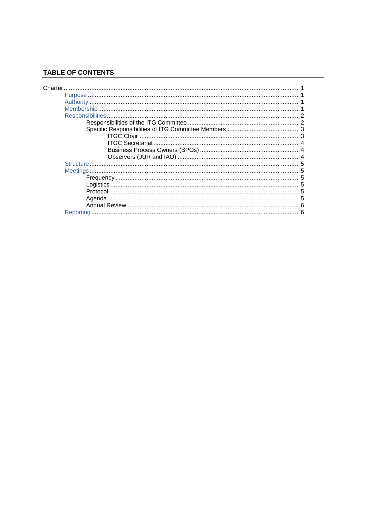# **TABLE OF CONTENTS**

| Reporting |  |
|-----------|--|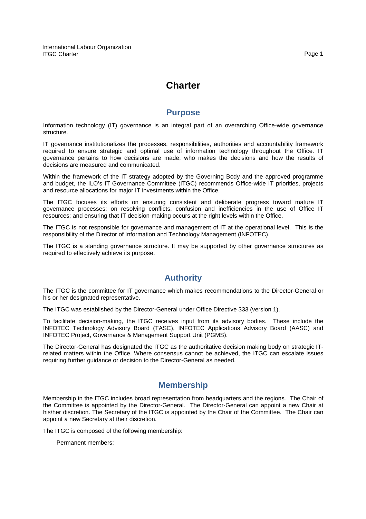#### Page 1

# **Charter**

## **Purpose**

Information technology (IT) governance is an integral part of an overarching Office-wide governance structure.

IT governance institutionalizes the processes, responsibilities, authorities and accountability framework required to ensure strategic and optimal use of information technology throughout the Office. IT governance pertains to how decisions are made, who makes the decisions and how the results of decisions are measured and communicated.

Within the framework of the IT strategy adopted by the Governing Body and the approved programme and budget, the ILO's IT Governance Committee (ITGC) recommends Office-wide IT priorities, projects and resource allocations for major IT investments within the Office.

The ITGC focuses its efforts on ensuring consistent and deliberate progress toward mature IT governance processes; on resolving conflicts, confusion and inefficiencies in the use of Office IT resources; and ensuring that IT decision-making occurs at the right levels within the Office.

The ITGC is not responsible for governance and management of IT at the operational level. This is the responsibility of the Director of Information and Technology Management (INFOTEC).

The ITGC is a standing governance structure. It may be supported by other governance structures as required to effectively achieve its purpose.

# **Authority**

The ITGC is the committee for IT governance which makes recommendations to the Director-General or his or her designated representative.

The ITGC was established by the Director-General under Office Directive 333 (version 1).

To facilitate decision-making, the ITGC receives input from its advisory bodies. These include the INFOTEC Technology Advisory Board (TASC), INFOTEC Applications Advisory Board (AASC) and INFOTEC Project, Governance & Management Support Unit (PGMS).

The Director-General has designated the ITGC as the authoritative decision making body on strategic ITrelated matters within the Office. Where consensus cannot be achieved, the ITGC can escalate issues requiring further guidance or decision to the Director-General as needed.

# **Membership**

Membership in the ITGC includes broad representation from headquarters and the regions. The Chair of the Committee is appointed by the Director-General. The Director-General can appoint a new Chair at his/her discretion. The Secretary of the ITGC is appointed by the Chair of the Committee. The Chair can appoint a new Secretary at their discretion.

The ITGC is composed of the following membership:

Permanent members: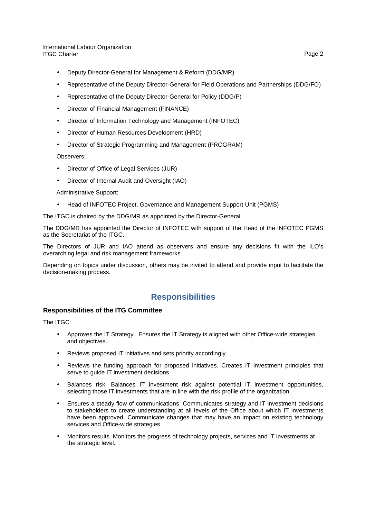- Deputy Director-General for Management & Reform (DDG/MR)
- Representative of the Deputy Director-General for Field Operations and Partnerships (DDG/FO)
- Representative of the Deputy Director-General for Policy (DDG/P)
- Director of Financial Management (FINANCE)
- Director of Information Technology and Management (INFOTEC)
- Director of Human Resources Development (HRD)
- Director of Strategic Programming and Management (PROGRAM)

Observers:

- Director of Office of Legal Services (JUR)
- Director of Internal Audit and Oversight (IAO)

Administrative Support:

• Head of INFOTEC Project, Governance and Management Support Unit (PGMS)

The ITGC is chaired by the DDG/MR as appointed by the Director-General.

The DDG/MR has appointed the Director of INFOTEC with support of the Head of the INFOTEC PGMS as the Secretariat of the ITGC.

The Directors of JUR and IAO attend as observers and ensure any decisions fit with the ILO's overarching legal and risk management frameworks.

Depending on topics under discussion, others may be invited to attend and provide input to facilitate the decision-making process.

### **Responsibilities**

#### **Responsibilities of the ITG Committee**

The ITGC:

- Approves the IT Strategy. Ensures the IT Strategy is aligned with other Office-wide strategies and objectives.
- Reviews proposed IT initiatives and sets priority accordingly.
- Reviews the funding approach for proposed initiatives. Creates IT investment principles that serve to guide IT investment decisions.
- Balances risk. Balances IT investment risk against potential IT investment opportunities, selecting those IT investments that are in line with the risk profile of the organization.
- Ensures a steady flow of communications. Communicates strategy and IT investment decisions to stakeholders to create understanding at all levels of the Office about which IT investments have been approved. Communicate changes that may have an impact on existing technology services and Office-wide strategies.
- Monitors results. Monitors the progress of technology projects, services and IT investments at the strategic level.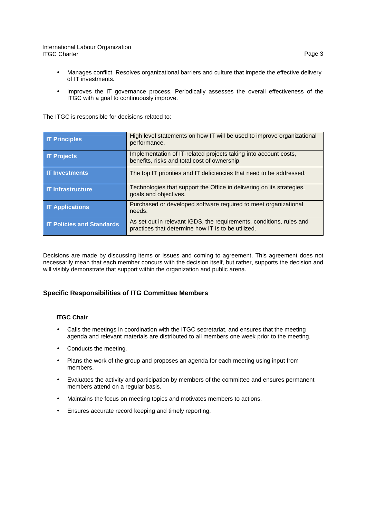- Manages conflict. Resolves organizational barriers and culture that impede the effective delivery of IT investments.
- Improves the IT governance process. Periodically assesses the overall effectiveness of the ITGC with a goal to continuously improve.

The ITGC is responsible for decisions related to:

| <b>IT Principles</b>             | High level statements on how IT will be used to improve organizational<br>performance.                                     |
|----------------------------------|----------------------------------------------------------------------------------------------------------------------------|
| <b>IT Projects</b>               | Implementation of IT-related projects taking into account costs,<br>benefits, risks and total cost of ownership.           |
| <b>IT Investments</b>            | The top IT priorities and IT deficiencies that need to be addressed.                                                       |
| <b>IT Infrastructure</b>         | Technologies that support the Office in delivering on its strategies,<br>goals and objectives.                             |
| <b>IT Applications</b>           | Purchased or developed software required to meet organizational<br>needs.                                                  |
| <b>IT Policies and Standards</b> | As set out in relevant IGDS, the requirements, conditions, rules and<br>practices that determine how IT is to be utilized. |

Decisions are made by discussing items or issues and coming to agreement. This agreement does not necessarily mean that each member concurs with the decision itself, but rather, supports the decision and will visibly demonstrate that support within the organization and public arena.

#### **Specific Responsibilities of ITG Committee Members**

#### **ITGC Chair**

- Calls the meetings in coordination with the ITGC secretariat, and ensures that the meeting agenda and relevant materials are distributed to all members one week prior to the meeting.
- Conducts the meeting.
- Plans the work of the group and proposes an agenda for each meeting using input from members.
- Evaluates the activity and participation by members of the committee and ensures permanent members attend on a regular basis.
- Maintains the focus on meeting topics and motivates members to actions.
- Ensures accurate record keeping and timely reporting.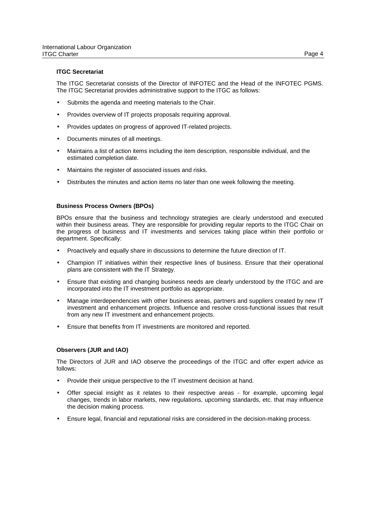#### **ITGC Secretariat**

The ITGC Secretariat consists of the Director of INFOTEC and the Head of the INFOTEC PGMS. The ITGC Secretariat provides administrative support to the ITGC as follows:

- Submits the agenda and meeting materials to the Chair.
- Provides overview of IT projects proposals requiring approval.
- Provides updates on progress of approved IT-related projects.
- Documents minutes of all meetings.
- Maintains a list of action items including the item description, responsible individual, and the estimated completion date.
- Maintains the register of associated issues and risks.
- Distributes the minutes and action items no later than one week following the meeting.

#### **Business Process Owners (BPOs)**

BPOs ensure that the business and technology strategies are clearly understood and executed within their business areas. They are responsible for providing regular reports to the ITGC Chair on the progress of business and IT investments and services taking place within their portfolio or department. Specifically:

- Proactively and equally share in discussions to determine the future direction of IT.
- Champion IT initiatives within their respective lines of business. Ensure that their operational plans are consistent with the IT Strategy.
- Ensure that existing and changing business needs are clearly understood by the ITGC and are incorporated into the IT investment portfolio as appropriate.
- Manage interdependencies with other business areas, partners and suppliers created by new IT investment and enhancement projects. Influence and resolve cross-functional issues that result from any new IT investment and enhancement projects.
- Ensure that benefits from IT investments are monitored and reported.

#### **Observers (JUR and IAO)**

The Directors of JUR and IAO observe the proceedings of the ITGC and offer expert advice as follows:

- Provide their unique perspective to the IT investment decision at hand.
- Offer special insight as it relates to their respective areas for example, upcoming legal changes, trends in labor markets, new regulations, upcoming standards, etc. that may influence the decision making process.
- Ensure legal, financial and reputational risks are considered in the decision-making process.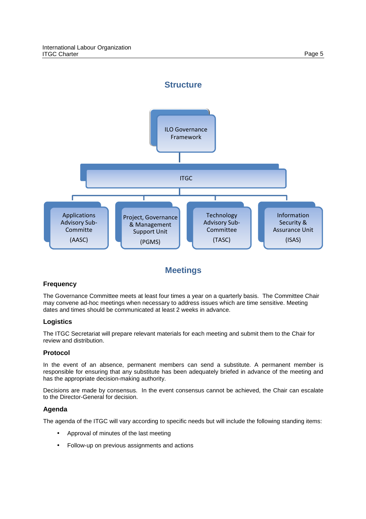

# **Meetings**

### **Frequency**

The Governance Committee meets at least four times a year on a quarterly basis. The Committee Chair may convene ad-hoc meetings when necessary to address issues which are time sensitive. Meeting dates and times should be communicated at least 2 weeks in advance.

#### **Logistics**

The ITGC Secretariat will prepare relevant materials for each meeting and submit them to the Chair for review and distribution.

#### **Protocol**

In the event of an absence, permanent members can send a substitute. A permanent member is responsible for ensuring that any substitute has been adequately briefed in advance of the meeting and has the appropriate decision-making authority.

Decisions are made by consensus. In the event consensus cannot be achieved, the Chair can escalate to the Director-General for decision.

#### **Agenda**

The agenda of the ITGC will vary according to specific needs but will include the following standing items:

- Approval of minutes of the last meeting
- Follow-up on previous assignments and actions